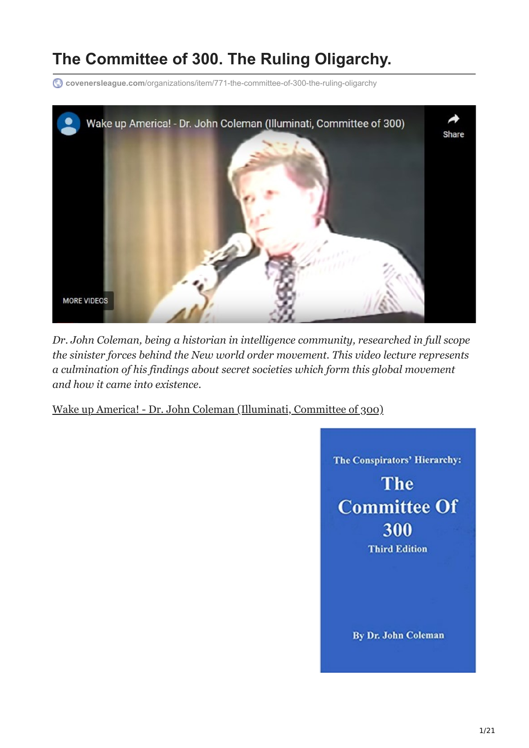## **The Committee of 300. The Ruling Oligarchy.**

**covenersleague.com**[/organizations/item/771-the-committee-of-300-the-ruling-oligarchy](http://www.covenersleague.com/organizations/item/771-the-committee-of-300-the-ruling-oligarchy)



*Dr. John Coleman, being a historian in intelligence community, researched in full scope the sinister forces behind the New world order movement. This video lecture represents a culmination of his findings about secret societies which form this global movement and how it came into existence.*

[Wake up America! - Dr. John Coleman \(Illuminati, Committee of 300\)](https://www.youtube.com/watch?v=rRqx1YgIBMw)

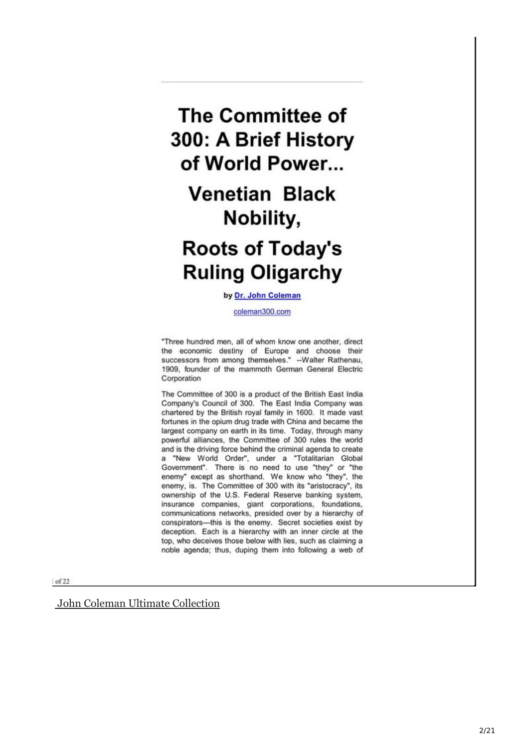# **The Committee of** 300: A Brief History of World Power...

# **Venetian Black** Nobility,

# **Roots of Today's Ruling Oligarchy**

by Dr. John Coleman

coleman300.com

"Three hundred men, all of whom know one another, direct the economic destiny of Europe and choose their successors from among themselves." -- Walter Rathenau, 1909, founder of the mammoth German General Electric Corporation

The Committee of 300 is a product of the British East India Company's Council of 300. The East India Company was chartered by the British royal family in 1600. It made vast fortunes in the opium drug trade with China and became the largest company on earth in its time. Today, through many powerful alliances, the Committee of 300 rules the world and is the driving force behind the criminal agenda to create a "New World Order", under a "Totalitarian Global Government". There is no need to use "they" or "the enemy" except as shorthand. We know who "they", the enemy, is. The Committee of 300 with its "aristocracy", its ownership of the U.S. Federal Reserve banking system, insurance companies, giant corporations, foundations, communications networks, presided over by a hierarchy of conspirators-this is the enemy. Secret societies exist by deception. Each is a hierarchy with an inner circle at the top, who deceives those below with lies, such as claiming a noble agenda; thus, duping them into following a web of

 [John Coleman Ultimate Collection](https://archive.org/details/JohnColemanBeyondTheConspiracy_201701)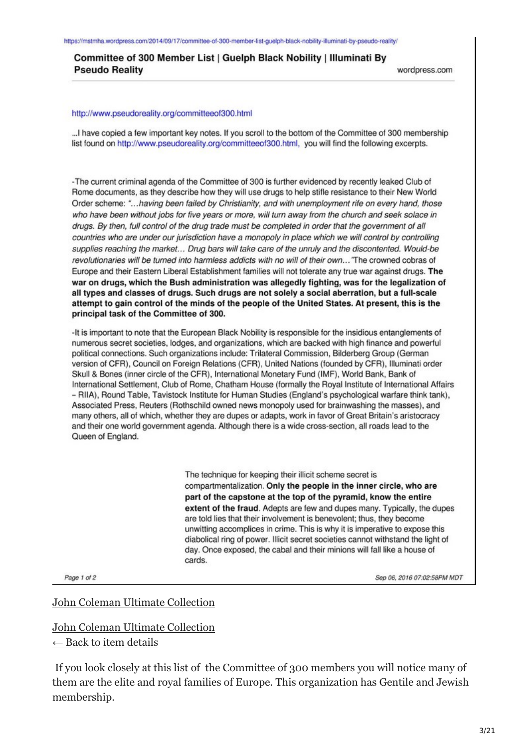#### Committee of 300 Member List | Guelph Black Nobility | Illuminati By **Pseudo Reality**

wordpress.com

#### http://www.pseudoreality.org/committeeof300.html

...I have copied a few important key notes. If you scroll to the bottom of the Committee of 300 membership list found on http://www.pseudoreality.org/committeeof300.html, you will find the following excerpts.

-The current criminal agenda of the Committee of 300 is further evidenced by recently leaked Club of Rome documents, as they describe how they will use drugs to help stifle resistance to their New World Order scheme: "...having been failed by Christianity, and with unemployment rife on every hand, those who have been without jobs for five years or more, will turn away from the church and seek solace in drugs. By then, full control of the drug trade must be completed in order that the government of all countries who are under our jurisdiction have a monopoly in place which we will control by controlling supplies reaching the market... Drug bars will take care of the unruly and the discontented. Would-be revolutionaries will be turned into harmless addicts with no will of their own..."The crowned cobras of Europe and their Eastern Liberal Establishment families will not tolerate any true war against drugs. The war on drugs, which the Bush administration was allegedly fighting, was for the legalization of all types and classes of drugs. Such drugs are not solely a social aberration, but a full-scale attempt to gain control of the minds of the people of the United States. At present, this is the principal task of the Committee of 300.

-It is important to note that the European Black Nobility is responsible for the insidious entanglements of numerous secret societies, lodges, and organizations, which are backed with high finance and powerful political connections. Such organizations include: Trilateral Commission, Bilderberg Group (German version of CFR), Council on Foreign Relations (CFR), United Nations (founded by CFR), Illuminati order Skull & Bones (inner circle of the CFR), International Monetary Fund (IMF), World Bank, Bank of International Settlement, Club of Rome, Chatham House (formally the Royal Institute of International Affairs - RIIA), Round Table, Tavistock Institute for Human Studies (England's psychological warfare think tank), Associated Press, Reuters (Rothschild owned news monopoly used for brainwashing the masses), and many others, all of which, whether they are dupes or adapts, work in favor of Great Britain's aristocracy and their one world government agenda. Although there is a wide cross-section, all roads lead to the Queen of England.

> The technique for keeping their illicit scheme secret is compartmentalization. Only the people in the inner circle, who are part of the capstone at the top of the pyramid, know the entire extent of the fraud. Adepts are few and dupes many. Typically, the dupes are told lies that their involvement is benevolent; thus, they become unwitting accomplices in crime. This is why it is imperative to expose this diabolical ring of power. Illicit secret societies cannot withstand the light of day. Once exposed, the cabal and their minions will fall like a house of cards.

Page 1 of 2

Sep 06, 2016 07:02:58PM MDT

#### [John Coleman Ultimate Collection](https://archive.org/details/JohnColemanBeyondTheConspiracy_201701)

### [John Coleman Ultimate Collection](https://archive.org/details/JohnColemanBeyondTheConspiracy_201701)  $\leftarrow$  Back to item details

If you look closely at this list of the Committee of 300 members you will notice many of them are the elite and royal families of Europe. This organization has Gentile and Jewish membership.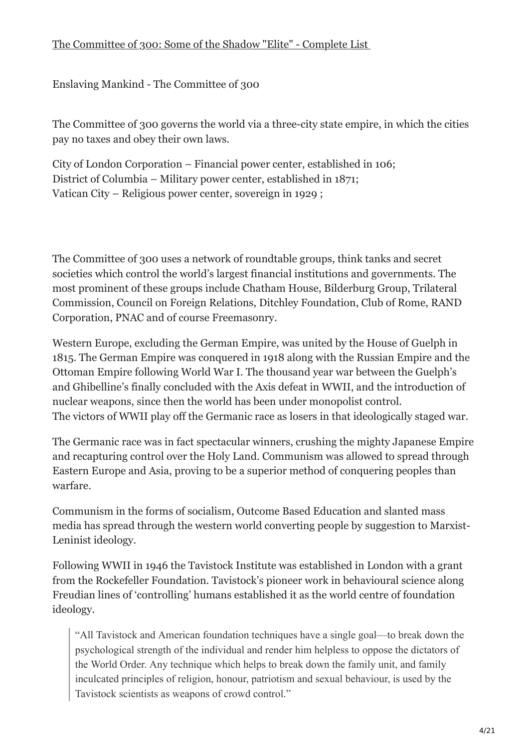### [The Committee of 300: Some of the Shadow "Elite" - Complete List](http://www.covenersleague.com/nexusilluminati.blogspot.com/2014/08/the-committee-of-300-some-of-shadow.html)

## Enslaving Mankind - The Committee of 300

The Committee of 300 governs the world via a three-city state empire, in which the cities pay no taxes and obey their own laws.

City of London Corporation – Financial power center, established in 106; District of Columbia – Military power center, established in 1871; Vatican City – Religious power center, sovereign in 1929 ;

The Committee of 300 uses a network of roundtable groups, think tanks and secret societies which control the world's largest financial institutions and governments. The most prominent of these groups include Chatham House, Bilderburg Group, Trilateral Commission, Council on Foreign Relations, Ditchley Foundation, Club of Rome, RAND Corporation, PNAC and of course Freemasonry.

Western Europe, excluding the German Empire, was united by the House of Guelph in 1815. The German Empire was conquered in 1918 along with the Russian Empire and the Ottoman Empire following World War I. The thousand year war between the Guelph's and Ghibelline's finally concluded with the Axis defeat in WWII, and the introduction of nuclear weapons, since then the world has been under monopolist control. The victors of WWII play off the Germanic race as losers in that ideologically staged war.

The Germanic race was in fact spectacular winners, crushing the mighty Japanese Empire and recapturing control over the Holy Land. Communism was allowed to spread through Eastern Europe and Asia, proving to be a superior method of conquering peoples than warfare.

Communism in the forms of socialism, Outcome Based Education and slanted mass media has spread through the western world converting people by suggestion to Marxist-Leninist ideology.

Following WWII in 1946 the Tavistock Institute was established in London with a grant from the Rockefeller Foundation. Tavistock's pioneer work in behavioural science along Freudian lines of 'controlling' humans established it as the world centre of foundation ideology.

"All Tavistock and American foundation techniques have a single goal—to break down the psychological strength of the individual and render him helpless to oppose the dictators of the World Order. Any technique which helps to break down the family unit, and family inculcated principles of religion, honour, patriotism and sexual behaviour, is used by the Tavistock scientists as weapons of crowd control."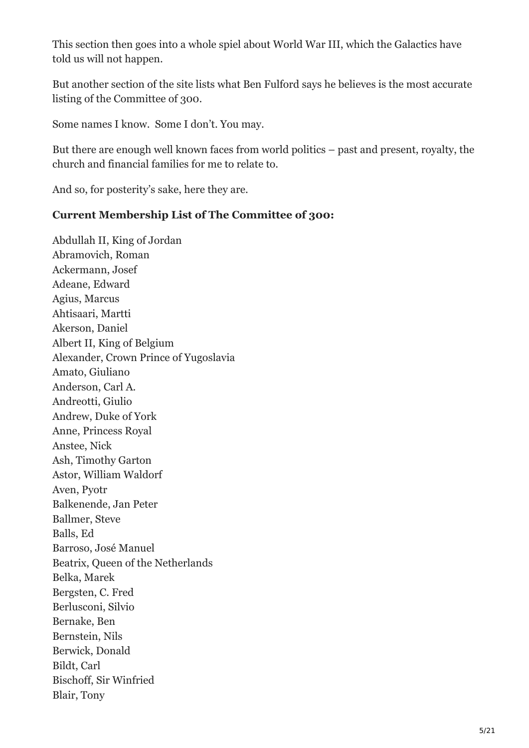This section then goes into a whole spiel about World War III, which the Galactics have told us will not happen.

But another section of the site lists what Ben Fulford says he believes is the most accurate listing of the Committee of 300.

Some names I know. Some I don't. You may.

But there are enough well known faces from world politics – past and present, royalty, the church and financial families for me to relate to.

And so, for posterity's sake, here they are.

### **Current Membership List of The Committee of 300:**

Abdullah II, King of Jordan Abramovich, Roman Ackermann, Josef Adeane, Edward Agius, Marcus Ahtisaari, Martti Akerson, Daniel Albert II, King of Belgium Alexander, Crown Prince of Yugoslavia Amato, Giuliano Anderson, Carl A. Andreotti, Giulio Andrew, Duke of York Anne, Princess Royal Anstee, Nick Ash, Timothy Garton Astor, William Waldorf Aven, Pyotr Balkenende, Jan Peter Ballmer, Steve Balls, Ed Barroso, José Manuel Beatrix, Queen of the Netherlands Belka, Marek Bergsten, C. Fred Berlusconi, Silvio Bernake, Ben Bernstein, Nils Berwick, Donald Bildt, Carl Bischoff, Sir Winfried Blair, Tony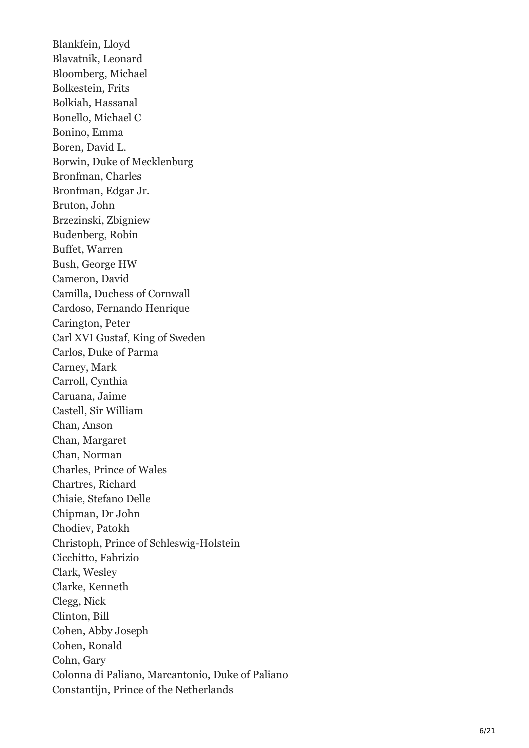Blankfein, Lloyd Blavatnik, Leonard Bloomberg, Michael Bolkestein, Frits Bolkiah, Hassanal Bonello, Michael C Bonino, Emma Boren, David L. Borwin, Duke of Mecklenburg Bronfman, Charles Bronfman, Edgar Jr. Bruton, John Brzezinski, Zbigniew Budenberg, Robin Buffet, Warren Bush, George HW Cameron, David Camilla, Duchess of Cornwall Cardoso, Fernando Henrique Carington, Peter Carl XVI Gustaf, King of Sweden Carlos, Duke of Parma Carney, Mark Carroll, Cynthia Caruana, Jaime Castell, Sir William Chan, Anson Chan, Margaret Chan, Norman Charles, Prince of Wales Chartres, Richard Chiaie, Stefano Delle Chipman, Dr John Chodiev, Patokh Christoph, Prince of Schleswig-Holstein Cicchitto, Fabrizio Clark, Wesley Clarke, Kenneth Clegg, Nick Clinton, Bill Cohen, Abby Joseph Cohen, Ronald Cohn, Gary Colonna di Paliano, Marcantonio, Duke of Paliano Constantijn, Prince of the Netherlands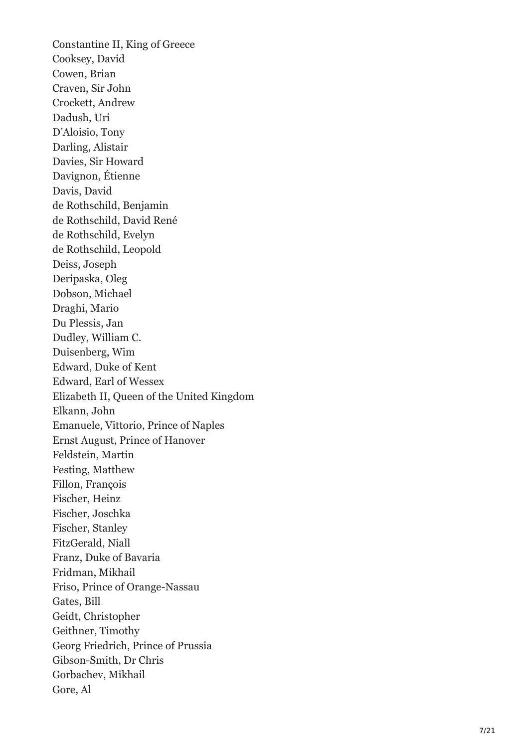Constantine II, King of Greece Cooksey, David Cowen, Brian Craven, Sir John Crockett, Andrew Dadush, Uri D'Aloisio, Tony Darling, Alistair Davies, Sir Howard Davignon, Étienne Davis, David de Rothschild, Benjamin de Rothschild, David René de Rothschild, Evelyn de Rothschild, Leopold Deiss, Joseph Deripaska, Oleg Dobson, Michael Draghi, Mario Du Plessis, Jan Dudley, William C. Duisenberg, Wim Edward, Duke of Kent Edward, Earl of Wessex Elizabeth II, Queen of the United Kingdom Elkann, John Emanuele, Vittorio, Prince of Naples Ernst August, Prince of Hanover Feldstein, Martin Festing, Matthew Fillon, François Fischer, Heinz Fischer, Joschka Fischer, Stanley FitzGerald, Niall Franz, Duke of Bavaria Fridman, Mikhail Friso, Prince of Orange-Nassau Gates, Bill Geidt, Christopher Geithner, Timothy Georg Friedrich, Prince of Prussia Gibson-Smith, Dr Chris Gorbachev, Mikhail Gore, Al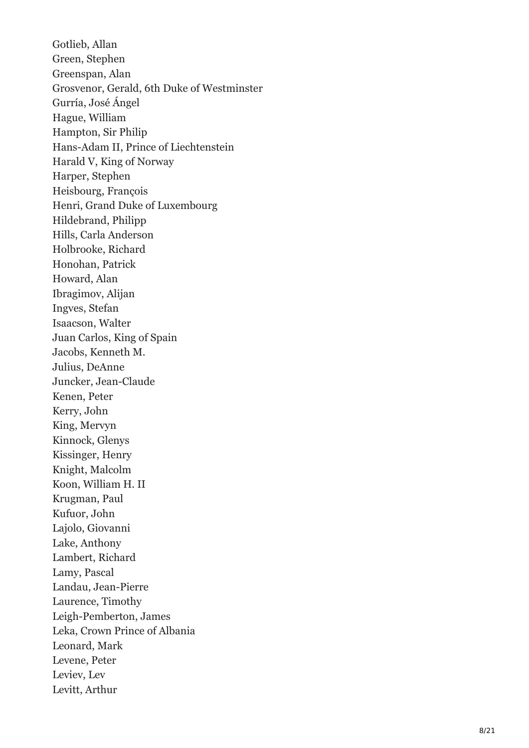Gotlieb, Allan Green, Stephen Greenspan, Alan Grosvenor, Gerald, 6th Duke of Westminster Gurría, José Ángel Hague, William Hampton, Sir Philip Hans-Adam II, Prince of Liechtenstein Harald V, King of Norway Harper, Stephen Heisbourg, François Henri, Grand Duke of Luxembourg Hildebrand, Philipp Hills, Carla Anderson Holbrooke, Richard Honohan, Patrick Howard, Alan Ibragimov, Alijan Ingves, Stefan Isaacson, Walter Juan Carlos, King of Spain Jacobs, Kenneth M. Julius, DeAnne Juncker, Jean-Claude Kenen, Peter Kerry, John King, Mervyn Kinnock, Glenys Kissinger, Henry Knight, Malcolm Koon, William H. II Krugman, Paul Kufuor, John Lajolo, Giovanni Lake, Anthony Lambert, Richard Lamy, Pascal Landau, Jean-Pierre Laurence, Timothy Leigh-Pemberton, James Leka, Crown Prince of Albania Leonard, Mark Levene, Peter Leviev, Lev Levitt, Arthur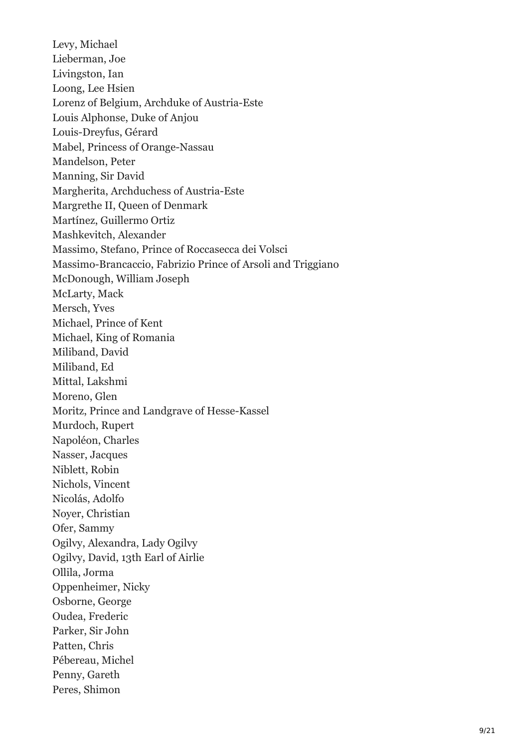Levy, Michael Lieberman, Joe Livingston, Ian Loong, Lee Hsien Lorenz of Belgium, Archduke of Austria-Este Louis Alphonse, Duke of Anjou Louis-Dreyfus, Gérard Mabel, Princess of Orange-Nassau Mandelson, Peter Manning, Sir David Margherita, Archduchess of Austria-Este Margrethe II, Queen of Denmark Martínez, Guillermo Ortiz Mashkevitch, Alexander Massimo, Stefano, Prince of Roccasecca dei Volsci Massimo-Brancaccio, Fabrizio Prince of Arsoli and Triggiano McDonough, William Joseph McLarty, Mack Mersch, Yves Michael, Prince of Kent Michael, King of Romania Miliband, David Miliband, Ed Mittal, Lakshmi Moreno, Glen Moritz, Prince and Landgrave of Hesse-Kassel Murdoch, Rupert Napoléon, Charles Nasser, Jacques Niblett, Robin Nichols, Vincent Nicolás, Adolfo Noyer, Christian Ofer, Sammy Ogilvy, Alexandra, Lady Ogilvy Ogilvy, David, 13th Earl of Airlie Ollila, Jorma Oppenheimer, Nicky Osborne, George Oudea, Frederic Parker, Sir John Patten, Chris Pébereau, Michel Penny, Gareth Peres, Shimon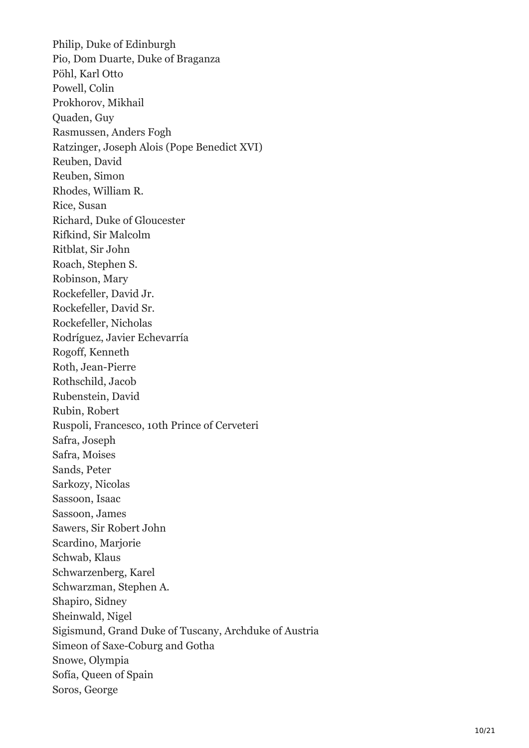Philip, Duke of Edinburgh Pio, Dom Duarte, Duke of Braganza Pöhl, Karl Otto Powell, Colin Prokhorov, Mikhail Quaden, Guy Rasmussen, Anders Fogh Ratzinger, Joseph Alois (Pope Benedict XVI) Reuben, David Reuben, Simon Rhodes, William R. Rice, Susan Richard, Duke of Gloucester Rifkind, Sir Malcolm Ritblat, Sir John Roach, Stephen S. Robinson, Mary Rockefeller, David Jr. Rockefeller, David Sr. Rockefeller, Nicholas Rodríguez, Javier Echevarría Rogoff, Kenneth Roth, Jean-Pierre Rothschild, Jacob Rubenstein, David Rubin, Robert Ruspoli, Francesco, 10th Prince of Cerveteri Safra, Joseph Safra, Moises Sands, Peter Sarkozy, Nicolas Sassoon, Isaac Sassoon, James Sawers, Sir Robert John Scardino, Marjorie Schwab, Klaus Schwarzenberg, Karel Schwarzman, Stephen A. Shapiro, Sidney Sheinwald, Nigel Sigismund, Grand Duke of Tuscany, Archduke of Austria Simeon of Saxe-Coburg and Gotha Snowe, Olympia Sofía, Queen of Spain Soros, George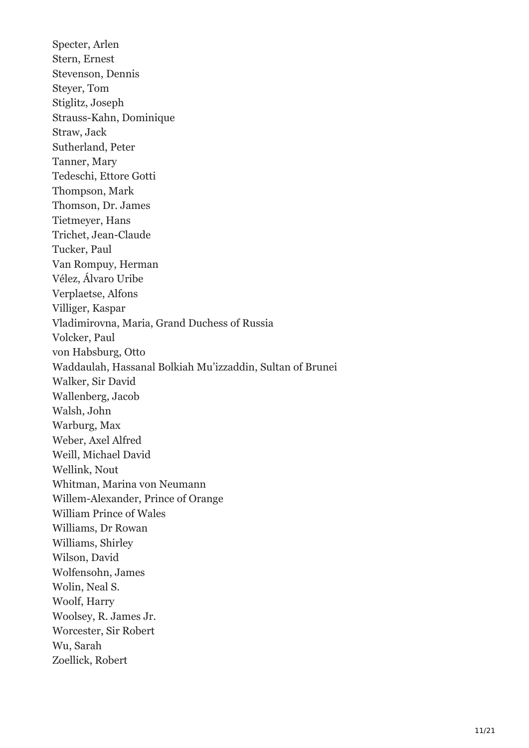Specter, Arlen Stern, Ernest Stevenson, Dennis Steyer, Tom Stiglitz, Joseph Strauss-Kahn, Dominique Straw, Jack Sutherland, Peter Tanner, Mary Tedeschi, Ettore Gotti Thompson, Mark Thomson, Dr. James Tietmeyer, Hans Trichet, Jean-Claude Tucker, Paul Van Rompuy, Herman Vélez, Álvaro Uribe Verplaetse, Alfons Villiger, Kaspar Vladimirovna, Maria, Grand Duchess of Russia Volcker, Paul von Habsburg, Otto Waddaulah, Hassanal Bolkiah Mu'izzaddin, Sultan of Brunei Walker, Sir David Wallenberg, Jacob Walsh, John Warburg, Max Weber, Axel Alfred Weill, Michael David Wellink, Nout Whitman, Marina von Neumann Willem-Alexander, Prince of Orange William Prince of Wales Williams, Dr Rowan Williams, Shirley Wilson, David Wolfensohn, James Wolin, Neal S. Woolf, Harry Woolsey, R. James Jr. Worcester, Sir Robert Wu, Sarah Zoellick, Robert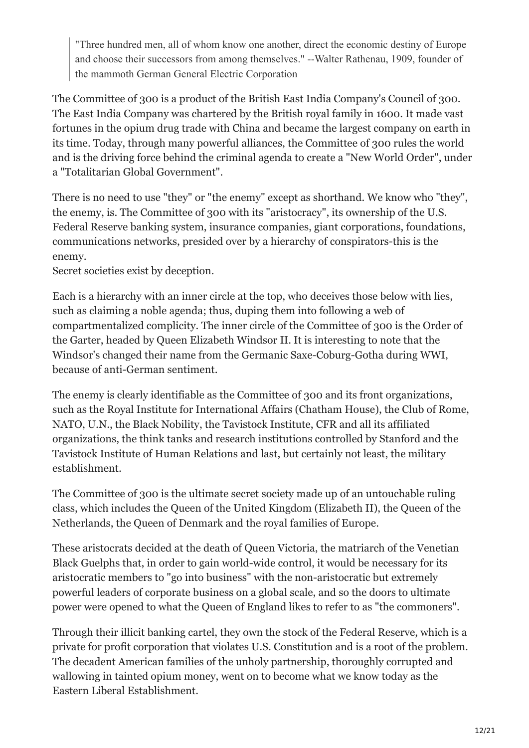"Three hundred men, all of whom know one another, direct the economic destiny of Europe and choose their successors from among themselves." --Walter Rathenau, 1909, founder of the mammoth German General Electric Corporation

The Committee of 300 is a product of the British East India Company's Council of 300. The East India Company was chartered by the British royal family in 1600. It made vast fortunes in the opium drug trade with China and became the largest company on earth in its time. Today, through many powerful alliances, the Committee of 300 rules the world and is the driving force behind the criminal agenda to create a "New World Order", under a "Totalitarian Global Government".

There is no need to use "they" or "the enemy" except as shorthand. We know who "they", the enemy, is. The Committee of 300 with its "aristocracy", its ownership of the U.S. Federal Reserve banking system, insurance companies, giant corporations, foundations, communications networks, presided over by a hierarchy of conspirators-this is the enemy.

Secret societies exist by deception.

Each is a hierarchy with an inner circle at the top, who deceives those below with lies, such as claiming a noble agenda; thus, duping them into following a web of compartmentalized complicity. The inner circle of the Committee of 300 is the Order of the Garter, headed by Queen Elizabeth Windsor II. It is interesting to note that the Windsor's changed their name from the Germanic Saxe-Coburg-Gotha during WWI, because of anti-German sentiment.

The enemy is clearly identifiable as the Committee of 300 and its front organizations, such as the Royal Institute for International Affairs (Chatham House), the Club of Rome, NATO, U.N., the Black Nobility, the Tavistock Institute, CFR and all its affiliated organizations, the think tanks and research institutions controlled by Stanford and the Tavistock Institute of Human Relations and last, but certainly not least, the military establishment.

The Committee of 300 is the ultimate secret society made up of an untouchable ruling class, which includes the Queen of the United Kingdom (Elizabeth II), the Queen of the Netherlands, the Queen of Denmark and the royal families of Europe.

These aristocrats decided at the death of Queen Victoria, the matriarch of the Venetian Black Guelphs that, in order to gain world-wide control, it would be necessary for its aristocratic members to "go into business" with the non-aristocratic but extremely powerful leaders of corporate business on a global scale, and so the doors to ultimate power were opened to what the Queen of England likes to refer to as "the commoners".

Through their illicit banking cartel, they own the stock of the Federal Reserve, which is a private for profit corporation that violates U.S. Constitution and is a root of the problem. The decadent American families of the unholy partnership, thoroughly corrupted and wallowing in tainted opium money, went on to become what we know today as the Eastern Liberal Establishment.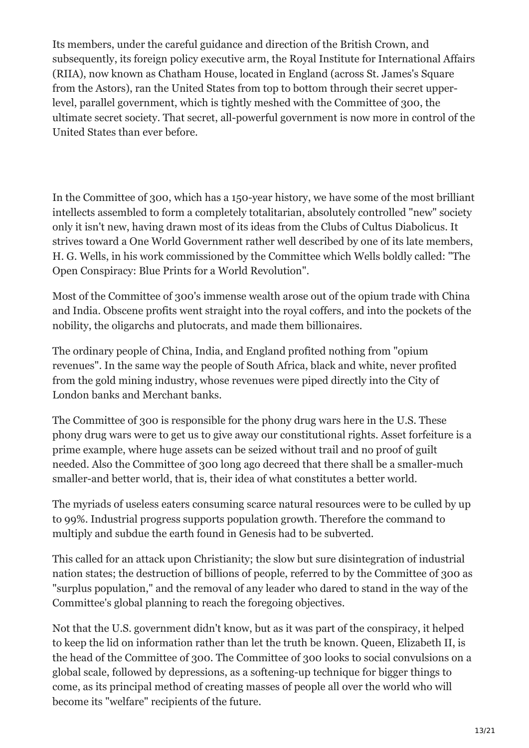Its members, under the careful guidance and direction of the British Crown, and subsequently, its foreign policy executive arm, the Royal Institute for International Affairs (RIIA), now known as Chatham House, located in England (across St. James's Square from the Astors), ran the United States from top to bottom through their secret upperlevel, parallel government, which is tightly meshed with the Committee of 300, the ultimate secret society. That secret, all-powerful government is now more in control of the United States than ever before.

In the Committee of 300, which has a 150-year history, we have some of the most brilliant intellects assembled to form a completely totalitarian, absolutely controlled "new" society only it isn't new, having drawn most of its ideas from the Clubs of Cultus Diabolicus. It strives toward a One World Government rather well described by one of its late members, H. G. Wells, in his work commissioned by the Committee which Wells boldly called: "The Open Conspiracy: Blue Prints for a World Revolution".

Most of the Committee of 300's immense wealth arose out of the opium trade with China and India. Obscene profits went straight into the royal coffers, and into the pockets of the nobility, the oligarchs and plutocrats, and made them billionaires.

The ordinary people of China, India, and England profited nothing from "opium revenues". In the same way the people of South Africa, black and white, never profited from the gold mining industry, whose revenues were piped directly into the City of London banks and Merchant banks.

The Committee of 300 is responsible for the phony drug wars here in the U.S. These phony drug wars were to get us to give away our constitutional rights. Asset forfeiture is a prime example, where huge assets can be seized without trail and no proof of guilt needed. Also the Committee of 300 long ago decreed that there shall be a smaller-much smaller-and better world, that is, their idea of what constitutes a better world.

The myriads of useless eaters consuming scarce natural resources were to be culled by up to 99%. Industrial progress supports population growth. Therefore the command to multiply and subdue the earth found in Genesis had to be subverted.

This called for an attack upon Christianity; the slow but sure disintegration of industrial nation states; the destruction of billions of people, referred to by the Committee of 300 as "surplus population," and the removal of any leader who dared to stand in the way of the Committee's global planning to reach the foregoing objectives.

Not that the U.S. government didn't know, but as it was part of the conspiracy, it helped to keep the lid on information rather than let the truth be known. Queen, Elizabeth II, is the head of the Committee of 300. The Committee of 300 looks to social convulsions on a global scale, followed by depressions, as a softening-up technique for bigger things to come, as its principal method of creating masses of people all over the world who will become its "welfare" recipients of the future.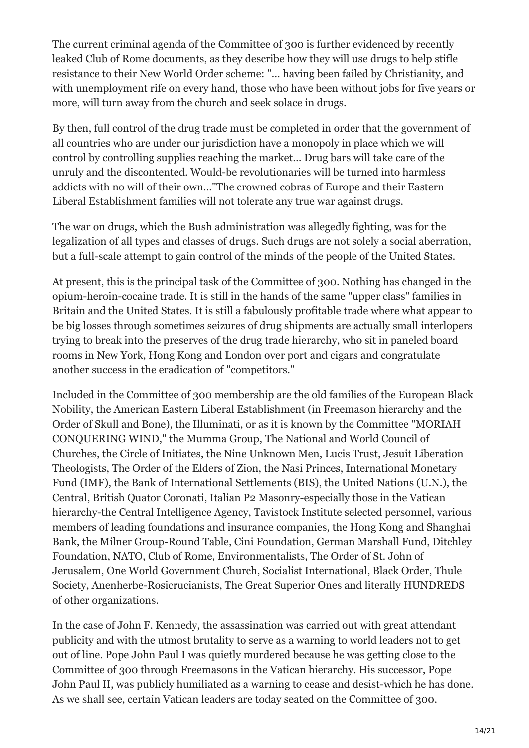The current criminal agenda of the Committee of 300 is further evidenced by recently leaked Club of Rome documents, as they describe how they will use drugs to help stifle resistance to their New World Order scheme: "… having been failed by Christianity, and with unemployment rife on every hand, those who have been without jobs for five years or more, will turn away from the church and seek solace in drugs.

By then, full control of the drug trade must be completed in order that the government of all countries who are under our jurisdiction have a monopoly in place which we will control by controlling supplies reaching the market… Drug bars will take care of the unruly and the discontented. Would-be revolutionaries will be turned into harmless addicts with no will of their own…"The crowned cobras of Europe and their Eastern Liberal Establishment families will not tolerate any true war against drugs.

The war on drugs, which the Bush administration was allegedly fighting, was for the legalization of all types and classes of drugs. Such drugs are not solely a social aberration, but a full-scale attempt to gain control of the minds of the people of the United States.

At present, this is the principal task of the Committee of 300. Nothing has changed in the opium-heroin-cocaine trade. It is still in the hands of the same "upper class" families in Britain and the United States. It is still a fabulously profitable trade where what appear to be big losses through sometimes seizures of drug shipments are actually small interlopers trying to break into the preserves of the drug trade hierarchy, who sit in paneled board rooms in New York, Hong Kong and London over port and cigars and congratulate another success in the eradication of "competitors."

Included in the Committee of 300 membership are the old families of the European Black Nobility, the American Eastern Liberal Establishment (in Freemason hierarchy and the Order of Skull and Bone), the Illuminati, or as it is known by the Committee "MORIAH CONQUERING WIND," the Mumma Group, The National and World Council of Churches, the Circle of Initiates, the Nine Unknown Men, Lucis Trust, Jesuit Liberation Theologists, The Order of the Elders of Zion, the Nasi Princes, International Monetary Fund (IMF), the Bank of International Settlements (BIS), the United Nations (U.N.), the Central, British Quator Coronati, Italian P2 Masonry-especially those in the Vatican hierarchy-the Central Intelligence Agency, Tavistock Institute selected personnel, various members of leading foundations and insurance companies, the Hong Kong and Shanghai Bank, the Milner Group-Round Table, Cini Foundation, German Marshall Fund, Ditchley Foundation, NATO, Club of Rome, Environmentalists, The Order of St. John of Jerusalem, One World Government Church, Socialist International, Black Order, Thule Society, Anenherbe-Rosicrucianists, The Great Superior Ones and literally HUNDREDS of other organizations.

In the case of John F. Kennedy, the assassination was carried out with great attendant publicity and with the utmost brutality to serve as a warning to world leaders not to get out of line. Pope John Paul I was quietly murdered because he was getting close to the Committee of 300 through Freemasons in the Vatican hierarchy. His successor, Pope John Paul II, was publicly humiliated as a warning to cease and desist-which he has done. As we shall see, certain Vatican leaders are today seated on the Committee of 300.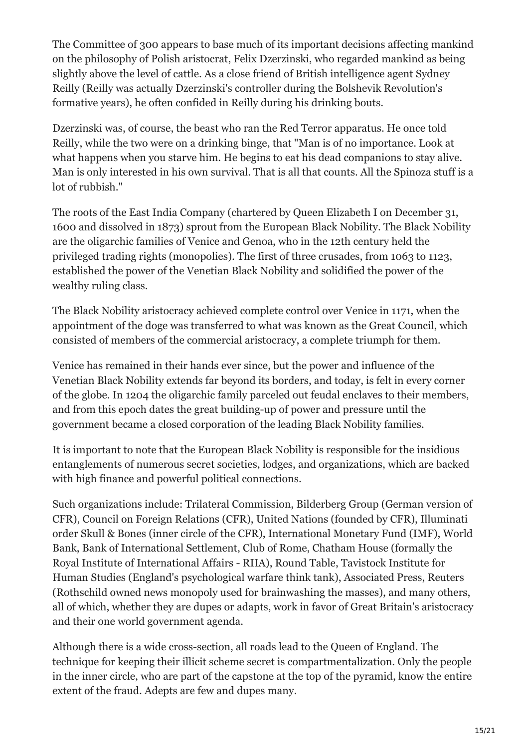The Committee of 300 appears to base much of its important decisions affecting mankind on the philosophy of Polish aristocrat, Felix Dzerzinski, who regarded mankind as being slightly above the level of cattle. As a close friend of British intelligence agent Sydney Reilly (Reilly was actually Dzerzinski's controller during the Bolshevik Revolution's formative years), he often confided in Reilly during his drinking bouts.

Dzerzinski was, of course, the beast who ran the Red Terror apparatus. He once told Reilly, while the two were on a drinking binge, that "Man is of no importance. Look at what happens when you starve him. He begins to eat his dead companions to stay alive. Man is only interested in his own survival. That is all that counts. All the Spinoza stuff is a lot of rubbish."

The roots of the East India Company (chartered by Queen Elizabeth I on December 31, 1600 and dissolved in 1873) sprout from the European Black Nobility. The Black Nobility are the oligarchic families of Venice and Genoa, who in the 12th century held the privileged trading rights (monopolies). The first of three crusades, from 1063 to 1123, established the power of the Venetian Black Nobility and solidified the power of the wealthy ruling class.

The Black Nobility aristocracy achieved complete control over Venice in 1171, when the appointment of the doge was transferred to what was known as the Great Council, which consisted of members of the commercial aristocracy, a complete triumph for them.

Venice has remained in their hands ever since, but the power and influence of the Venetian Black Nobility extends far beyond its borders, and today, is felt in every corner of the globe. In 1204 the oligarchic family parceled out feudal enclaves to their members, and from this epoch dates the great building-up of power and pressure until the government became a closed corporation of the leading Black Nobility families.

It is important to note that the European Black Nobility is responsible for the insidious entanglements of numerous secret societies, lodges, and organizations, which are backed with high finance and powerful political connections.

Such organizations include: Trilateral Commission, Bilderberg Group (German version of CFR), Council on Foreign Relations (CFR), United Nations (founded by CFR), Illuminati order Skull & Bones (inner circle of the CFR), International Monetary Fund (IMF), World Bank, Bank of International Settlement, Club of Rome, Chatham House (formally the Royal Institute of International Affairs - RIIA), Round Table, Tavistock Institute for Human Studies (England's psychological warfare think tank), Associated Press, Reuters (Rothschild owned news monopoly used for brainwashing the masses), and many others, all of which, whether they are dupes or adapts, work in favor of Great Britain's aristocracy and their one world government agenda.

Although there is a wide cross-section, all roads lead to the Queen of England. The technique for keeping their illicit scheme secret is compartmentalization. Only the people in the inner circle, who are part of the capstone at the top of the pyramid, know the entire extent of the fraud. Adepts are few and dupes many.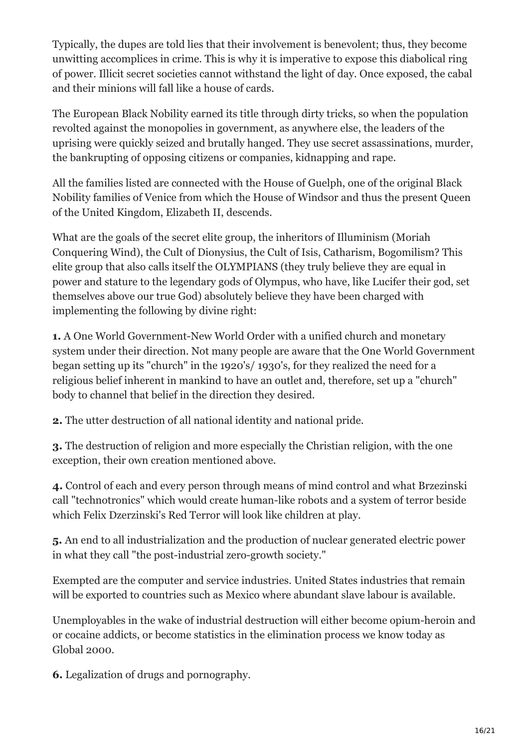Typically, the dupes are told lies that their involvement is benevolent; thus, they become unwitting accomplices in crime. This is why it is imperative to expose this diabolical ring of power. Illicit secret societies cannot withstand the light of day. Once exposed, the cabal and their minions will fall like a house of cards.

The European Black Nobility earned its title through dirty tricks, so when the population revolted against the monopolies in government, as anywhere else, the leaders of the uprising were quickly seized and brutally hanged. They use secret assassinations, murder, the bankrupting of opposing citizens or companies, kidnapping and rape.

All the families listed are connected with the House of Guelph, one of the original Black Nobility families of Venice from which the House of Windsor and thus the present Queen of the United Kingdom, Elizabeth II, descends.

What are the goals of the secret elite group, the inheritors of Illuminism (Moriah Conquering Wind), the Cult of Dionysius, the Cult of Isis, Catharism, Bogomilism? This elite group that also calls itself the OLYMPIANS (they truly believe they are equal in power and stature to the legendary gods of Olympus, who have, like Lucifer their god, set themselves above our true God) absolutely believe they have been charged with implementing the following by divine right:

**1.** A One World Government-New World Order with a unified church and monetary system under their direction. Not many people are aware that the One World Government began setting up its "church" in the 1920's/ 1930's, for they realized the need for a religious belief inherent in mankind to have an outlet and, therefore, set up a "church" body to channel that belief in the direction they desired.

**2.** The utter destruction of all national identity and national pride.

**3.** The destruction of religion and more especially the Christian religion, with the one exception, their own creation mentioned above.

**4.** Control of each and every person through means of mind control and what Brzezinski call "technotronics" which would create human-like robots and a system of terror beside which Felix Dzerzinski's Red Terror will look like children at play.

**5.** An end to all industrialization and the production of nuclear generated electric power in what they call "the post-industrial zero-growth society."

Exempted are the computer and service industries. United States industries that remain will be exported to countries such as Mexico where abundant slave labour is available.

Unemployables in the wake of industrial destruction will either become opium-heroin and or cocaine addicts, or become statistics in the elimination process we know today as Global 2000.

**6.** Legalization of drugs and pornography.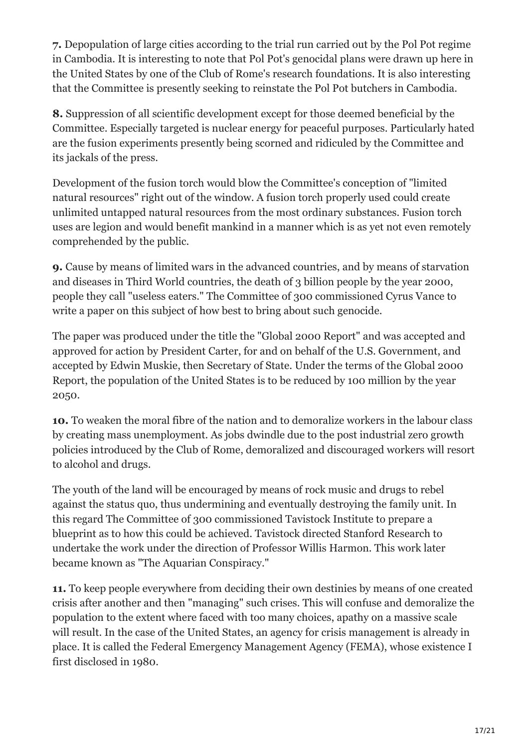**7.** Depopulation of large cities according to the trial run carried out by the Pol Pot regime in Cambodia. It is interesting to note that Pol Pot's genocidal plans were drawn up here in the United States by one of the Club of Rome's research foundations. It is also interesting that the Committee is presently seeking to reinstate the Pol Pot butchers in Cambodia.

**8.** Suppression of all scientific development except for those deemed beneficial by the Committee. Especially targeted is nuclear energy for peaceful purposes. Particularly hated are the fusion experiments presently being scorned and ridiculed by the Committee and its jackals of the press.

Development of the fusion torch would blow the Committee's conception of "limited natural resources" right out of the window. A fusion torch properly used could create unlimited untapped natural resources from the most ordinary substances. Fusion torch uses are legion and would benefit mankind in a manner which is as yet not even remotely comprehended by the public.

**9.** Cause by means of limited wars in the advanced countries, and by means of starvation and diseases in Third World countries, the death of 3 billion people by the year 2000, people they call "useless eaters." The Committee of 300 commissioned Cyrus Vance to write a paper on this subject of how best to bring about such genocide.

The paper was produced under the title the "Global 2000 Report" and was accepted and approved for action by President Carter, for and on behalf of the U.S. Government, and accepted by Edwin Muskie, then Secretary of State. Under the terms of the Global 2000 Report, the population of the United States is to be reduced by 100 million by the year 2050.

**10.** To weaken the moral fibre of the nation and to demoralize workers in the labour class by creating mass unemployment. As jobs dwindle due to the post industrial zero growth policies introduced by the Club of Rome, demoralized and discouraged workers will resort to alcohol and drugs.

The youth of the land will be encouraged by means of rock music and drugs to rebel against the status quo, thus undermining and eventually destroying the family unit. In this regard The Committee of 300 commissioned Tavistock Institute to prepare a blueprint as to how this could be achieved. Tavistock directed Stanford Research to undertake the work under the direction of Professor Willis Harmon. This work later became known as "The Aquarian Conspiracy."

**11.** To keep people everywhere from deciding their own destinies by means of one created crisis after another and then "managing" such crises. This will confuse and demoralize the population to the extent where faced with too many choices, apathy on a massive scale will result. In the case of the United States, an agency for crisis management is already in place. It is called the Federal Emergency Management Agency (FEMA), whose existence I first disclosed in 1980.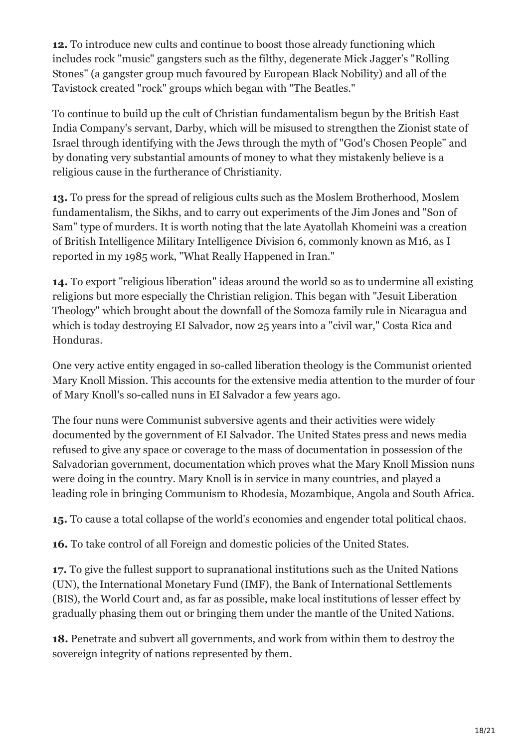**12.** To introduce new cults and continue to boost those already functioning which includes rock "music" gangsters such as the filthy, degenerate Mick Jagger's "Rolling Stones" (a gangster group much favoured by European Black Nobility) and all of the Tavistock created "rock" groups which began with "The Beatles."

To continue to build up the cult of Christian fundamentalism begun by the British East India Company's servant, Darby, which will be misused to strengthen the Zionist state of Israel through identifying with the Jews through the myth of "God's Chosen People" and by donating very substantial amounts of money to what they mistakenly believe is a religious cause in the furtherance of Christianity.

**13.** To press for the spread of religious cults such as the Moslem Brotherhood, Moslem fundamentalism, the Sikhs, and to carry out experiments of the Jim Jones and "Son of Sam" type of murders. It is worth noting that the late Ayatollah Khomeini was a creation of British Intelligence Military Intelligence Division 6, commonly known as M16, as I reported in my 1985 work, "What Really Happened in Iran."

**14.** To export "religious liberation" ideas around the world so as to undermine all existing religions but more especially the Christian religion. This began with "Jesuit Liberation Theology" which brought about the downfall of the Somoza family rule in Nicaragua and which is today destroying EI Salvador, now 25 years into a "civil war," Costa Rica and Honduras.

One very active entity engaged in so-called liberation theology is the Communist oriented Mary Knoll Mission. This accounts for the extensive media attention to the murder of four of Mary Knoll's so-called nuns in EI Salvador a few years ago.

The four nuns were Communist subversive agents and their activities were widely documented by the government of EI Salvador. The United States press and news media refused to give any space or coverage to the mass of documentation in possession of the Salvadorian government, documentation which proves what the Mary Knoll Mission nuns were doing in the country. Mary Knoll is in service in many countries, and played a leading role in bringing Communism to Rhodesia, Mozambique, Angola and South Africa.

**15.** To cause a total collapse of the world's economies and engender total political chaos.

**16.** To take control of all Foreign and domestic policies of the United States.

**17.** To give the fullest support to supranational institutions such as the United Nations (UN), the International Monetary Fund (IMF), the Bank of International Settlements (BIS), the World Court and, as far as possible, make local institutions of lesser effect by gradually phasing them out or bringing them under the mantle of the United Nations.

**18.** Penetrate and subvert all governments, and work from within them to destroy the sovereign integrity of nations represented by them.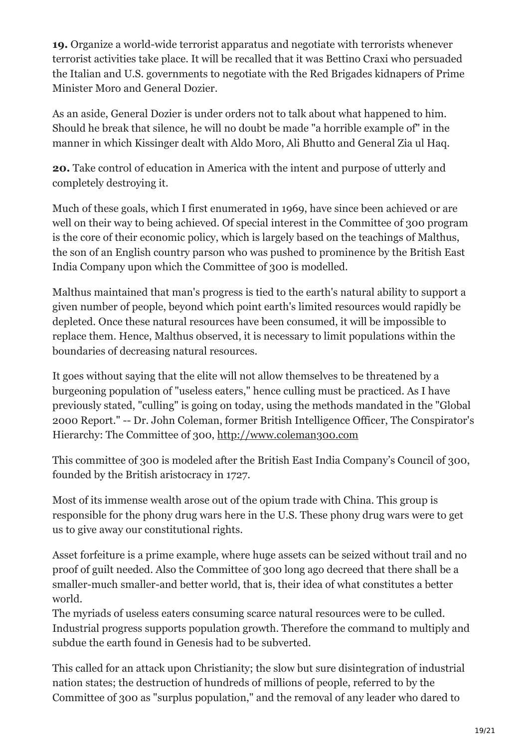**19.** Organize a world-wide terrorist apparatus and negotiate with terrorists whenever terrorist activities take place. It will be recalled that it was Bettino Craxi who persuaded the Italian and U.S. governments to negotiate with the Red Brigades kidnapers of Prime Minister Moro and General Dozier.

As an aside, General Dozier is under orders not to talk about what happened to him. Should he break that silence, he will no doubt be made "a horrible example of" in the manner in which Kissinger dealt with Aldo Moro, Ali Bhutto and General Zia ul Haq.

**20.** Take control of education in America with the intent and purpose of utterly and completely destroying it.

Much of these goals, which I first enumerated in 1969, have since been achieved or are well on their way to being achieved. Of special interest in the Committee of 300 program is the core of their economic policy, which is largely based on the teachings of Malthus, the son of an English country parson who was pushed to prominence by the British East India Company upon which the Committee of 300 is modelled.

Malthus maintained that man's progress is tied to the earth's natural ability to support a given number of people, beyond which point earth's limited resources would rapidly be depleted. Once these natural resources have been consumed, it will be impossible to replace them. Hence, Malthus observed, it is necessary to limit populations within the boundaries of decreasing natural resources.

It goes without saying that the elite will not allow themselves to be threatened by a burgeoning population of "useless eaters," hence culling must be practiced. As I have previously stated, "culling" is going on today, using the methods mandated in the "Global 2000 Report." -- Dr. John Coleman, former British Intelligence Officer, The Conspirator's Hierarchy: The Committee of 300, [http://www.coleman300.com](http://www.coleman300.com/)

This committee of 300 is modeled after the British East India Company's Council of 300, founded by the British aristocracy in 1727.

Most of its immense wealth arose out of the opium trade with China. This group is responsible for the phony drug wars here in the U.S. These phony drug wars were to get us to give away our constitutional rights.

Asset forfeiture is a prime example, where huge assets can be seized without trail and no proof of guilt needed. Also the Committee of 300 long ago decreed that there shall be a smaller-much smaller-and better world, that is, their idea of what constitutes a better world.

The myriads of useless eaters consuming scarce natural resources were to be culled. Industrial progress supports population growth. Therefore the command to multiply and subdue the earth found in Genesis had to be subverted.

This called for an attack upon Christianity; the slow but sure disintegration of industrial nation states; the destruction of hundreds of millions of people, referred to by the Committee of 300 as "surplus population," and the removal of any leader who dared to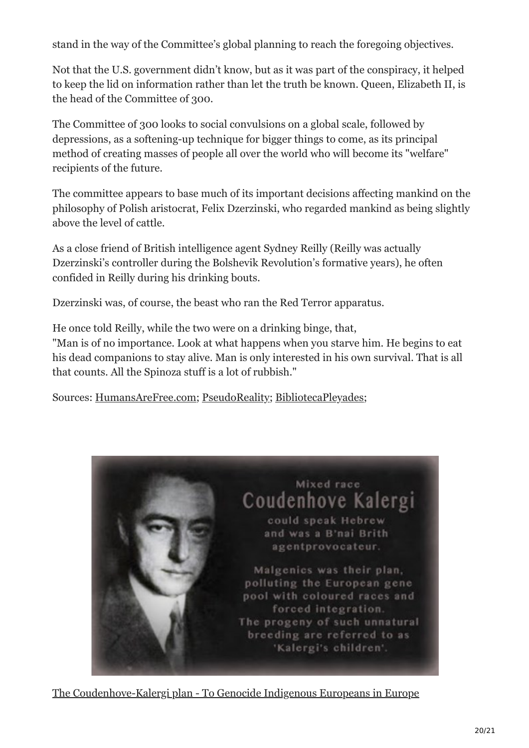stand in the way of the Committee's global planning to reach the foregoing objectives.

Not that the U.S. government didn't know, but as it was part of the conspiracy, it helped to keep the lid on information rather than let the truth be known. Queen, Elizabeth II, is the head of the Committee of 300.

The Committee of 300 looks to social convulsions on a global scale, followed by depressions, as a softening-up technique for bigger things to come, as its principal method of creating masses of people all over the world who will become its "welfare" recipients of the future.

The committee appears to base much of its important decisions affecting mankind on the philosophy of Polish aristocrat, Felix Dzerzinski, who regarded mankind as being slightly above the level of cattle.

As a close friend of British intelligence agent Sydney Reilly (Reilly was actually Dzerzinski's controller during the Bolshevik Revolution's formative years), he often confided in Reilly during his drinking bouts.

Dzerzinski was, of course, the beast who ran the Red Terror apparatus.

He once told Reilly, while the two were on a drinking binge, that, "Man is of no importance. Look at what happens when you starve him. He begins to eat his dead companions to stay alive. Man is only interested in his own survival. That is all that counts. All the Spinoza stuff is a lot of rubbish."

Sources: [HumansAreFree.com;](http://humansarefree.com/) [PseudoReality](http://www.pseudoreality.org/); [BibliotecaPleyades;](http://www.bibliotecapleyades.net/sociopolitica/esp_sociopol_committee300_11.htm)